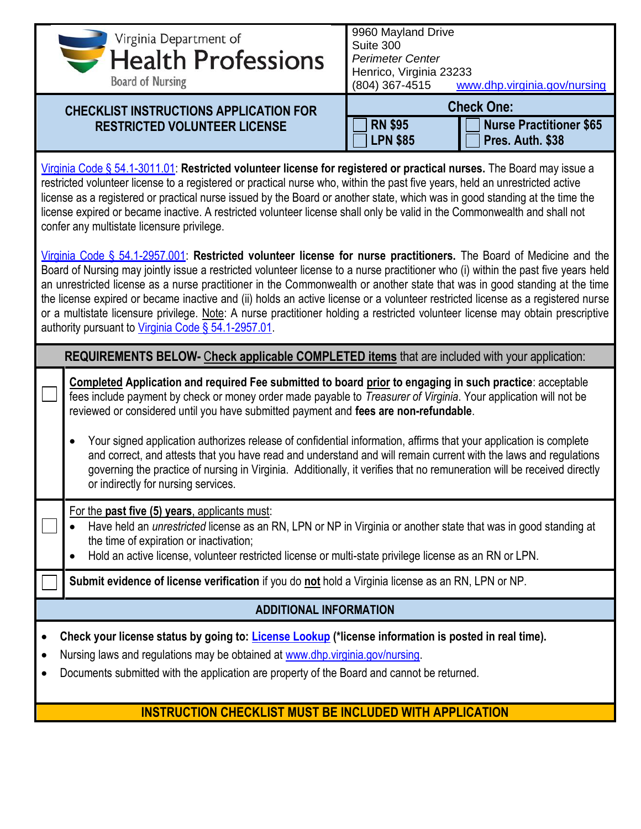| Virginia Department of                                                                                                                                                                                                                                                                                                                                                                                                                                                                                                                                                                                                                                                                                            | 9960 Mayland Drive<br>Suite 300                                                                                                                                                                                                                                                                                      |  |  |
|-------------------------------------------------------------------------------------------------------------------------------------------------------------------------------------------------------------------------------------------------------------------------------------------------------------------------------------------------------------------------------------------------------------------------------------------------------------------------------------------------------------------------------------------------------------------------------------------------------------------------------------------------------------------------------------------------------------------|----------------------------------------------------------------------------------------------------------------------------------------------------------------------------------------------------------------------------------------------------------------------------------------------------------------------|--|--|
| <b>Health Professions</b>                                                                                                                                                                                                                                                                                                                                                                                                                                                                                                                                                                                                                                                                                         | <b>Perimeter Center</b>                                                                                                                                                                                                                                                                                              |  |  |
| <b>Board of Nursing</b>                                                                                                                                                                                                                                                                                                                                                                                                                                                                                                                                                                                                                                                                                           | Henrico, Virginia 23233                                                                                                                                                                                                                                                                                              |  |  |
|                                                                                                                                                                                                                                                                                                                                                                                                                                                                                                                                                                                                                                                                                                                   | (804) 367-4515<br>www.dhp.virginia.gov/nursing                                                                                                                                                                                                                                                                       |  |  |
| <b>CHECKLIST INSTRUCTIONS APPLICATION FOR</b>                                                                                                                                                                                                                                                                                                                                                                                                                                                                                                                                                                                                                                                                     | <b>Check One:</b>                                                                                                                                                                                                                                                                                                    |  |  |
| <b>RESTRICTED VOLUNTEER LICENSE</b>                                                                                                                                                                                                                                                                                                                                                                                                                                                                                                                                                                                                                                                                               | <b>RN \$95</b><br><b>Nurse Practitioner \$65</b>                                                                                                                                                                                                                                                                     |  |  |
|                                                                                                                                                                                                                                                                                                                                                                                                                                                                                                                                                                                                                                                                                                                   | <b>LPN \$85</b><br>Pres. Auth. \$38                                                                                                                                                                                                                                                                                  |  |  |
| Virginia Code § 54.1-3011.01: Restricted volunteer license for registered or practical nurses. The Board may issue a<br>restricted volunteer license to a registered or practical nurse who, within the past five years, held an unrestricted active<br>license as a registered or practical nurse issued by the Board or another state, which was in good standing at the time the<br>license expired or became inactive. A restricted volunteer license shall only be valid in the Commonwealth and shall not<br>confer any multistate licensure privilege.                                                                                                                                                     |                                                                                                                                                                                                                                                                                                                      |  |  |
| Virginia Code § 54.1-2957.001: Restricted volunteer license for nurse practitioners. The Board of Medicine and the<br>Board of Nursing may jointly issue a restricted volunteer license to a nurse practitioner who (i) within the past five years held<br>an unrestricted license as a nurse practitioner in the Commonwealth or another state that was in good standing at the time<br>the license expired or became inactive and (ii) holds an active license or a volunteer restricted license as a registered nurse<br>or a multistate licensure privilege. Note: A nurse practitioner holding a restricted volunteer license may obtain prescriptive<br>authority pursuant to Virginia Code § 54.1-2957.01. |                                                                                                                                                                                                                                                                                                                      |  |  |
| REQUIREMENTS BELOW- Check applicable COMPLETED items that are included with your application:                                                                                                                                                                                                                                                                                                                                                                                                                                                                                                                                                                                                                     |                                                                                                                                                                                                                                                                                                                      |  |  |
|                                                                                                                                                                                                                                                                                                                                                                                                                                                                                                                                                                                                                                                                                                                   | Completed Application and required Fee submitted to board prior to engaging in such practice: acceptable<br>fees include payment by check or money order made payable to Treasurer of Virginia. Your application will not be<br>reviewed or considered until you have submitted payment and fees are non-refundable. |  |  |
| Your signed application authorizes release of confidential information, affirms that your application is complete<br>and correct, and attests that you have read and understand and will remain current with the laws and regulations<br>governing the practice of nursing in Virginia. Additionally, it verifies that no remuneration will be received directly<br>or indirectly for nursing services.                                                                                                                                                                                                                                                                                                           |                                                                                                                                                                                                                                                                                                                      |  |  |
| For the past five (5) years, applicants must:<br>Have held an <i>unrestricted</i> license as an RN, LPN or NP in Virginia or another state that was in good standing at<br>the time of expiration or inactivation;<br>Hold an active license, volunteer restricted license or multi-state privilege license as an RN or LPN.                                                                                                                                                                                                                                                                                                                                                                                      |                                                                                                                                                                                                                                                                                                                      |  |  |
| Submit evidence of license verification if you do not hold a Virginia license as an RN, LPN or NP.                                                                                                                                                                                                                                                                                                                                                                                                                                                                                                                                                                                                                |                                                                                                                                                                                                                                                                                                                      |  |  |
| <b>ADDITIONAL INFORMATION</b>                                                                                                                                                                                                                                                                                                                                                                                                                                                                                                                                                                                                                                                                                     |                                                                                                                                                                                                                                                                                                                      |  |  |
| Check your license status by going to: License Lookup (*license information is posted in real time).<br>$\bullet$                                                                                                                                                                                                                                                                                                                                                                                                                                                                                                                                                                                                 |                                                                                                                                                                                                                                                                                                                      |  |  |
| Nursing laws and regulations may be obtained at www.dhp.virginia.gov/nursing.<br>$\bullet$                                                                                                                                                                                                                                                                                                                                                                                                                                                                                                                                                                                                                        |                                                                                                                                                                                                                                                                                                                      |  |  |
| Documents submitted with the application are property of the Board and cannot be returned.<br>$\bullet$                                                                                                                                                                                                                                                                                                                                                                                                                                                                                                                                                                                                           |                                                                                                                                                                                                                                                                                                                      |  |  |
|                                                                                                                                                                                                                                                                                                                                                                                                                                                                                                                                                                                                                                                                                                                   |                                                                                                                                                                                                                                                                                                                      |  |  |
| <b>INSTRUCTION CHECKLIST MUST BE INCLUDED WITH APPLICATION</b>                                                                                                                                                                                                                                                                                                                                                                                                                                                                                                                                                                                                                                                    |                                                                                                                                                                                                                                                                                                                      |  |  |
|                                                                                                                                                                                                                                                                                                                                                                                                                                                                                                                                                                                                                                                                                                                   |                                                                                                                                                                                                                                                                                                                      |  |  |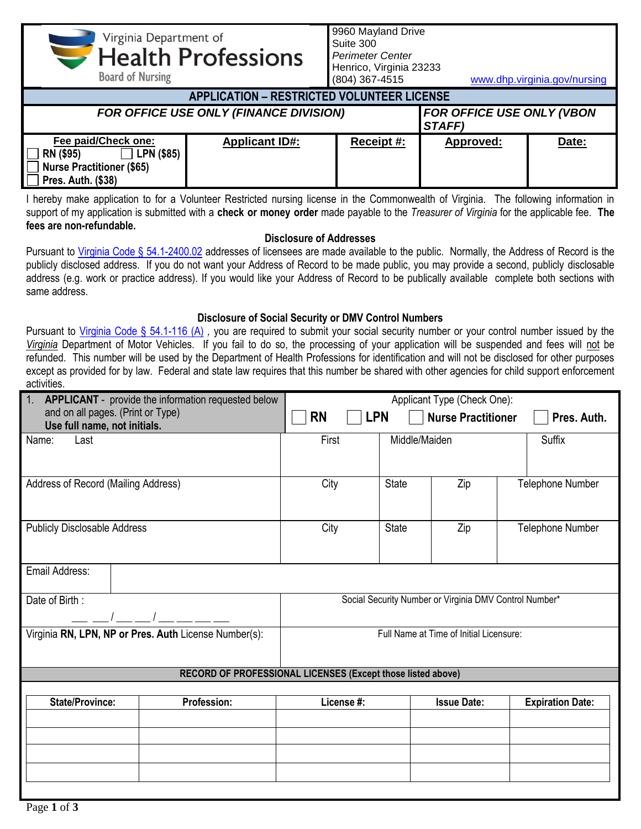Virginia Department of **Health Professions** 

**Board of Nursing** 

9960 Mayland Drive Suite 300 *Perimeter Center* Henrico, Virginia 23233

(804) 367-4515 [www.dhp.virginia.gov/nursing](http://www.dhp.virginia.gov/nursing)

| <b>APPLICATION - RESTRICTED VOLUNTEER LICENSE</b>                                                        |                       |            |                                                   |       |
|----------------------------------------------------------------------------------------------------------|-----------------------|------------|---------------------------------------------------|-------|
| <b>FOR OFFICE USE ONLY (FINANCE DIVISION)</b>                                                            |                       |            | <b>FOR OFFICE USE ONLY (VBON</b><br><b>STAFF)</b> |       |
| Fee paid/Check one:<br><b>LPN (\$85)</b><br>RN (\$95)<br>Nurse Practitioner (\$65)<br>Pres. Auth. (\$38) | <b>Applicant ID#:</b> | Receipt #: | Approved:                                         | Date: |

I hereby make application to for a Volunteer Restricted nursing license in the Commonwealth of Virginia. The following information in support of my application is submitted with a **check or money order** made payable to the *Treasurer of Virginia* for the applicable fee. **The fees are non-refundable.**

## **Disclosure of Addresses**

Pursuant to [Virginia Code § 54.1-2400.02](https://law.lis.virginia.gov/vacode/title54.1/chapter24/section54.1-2400.02/) addresses of licensees are made available to the public. Normally, the Address of Record is the publicly disclosed address. If you do not want your Address of Record to be made public, you may provide a second, publicly disclosable address (e.g. work or practice address). If you would like your Address of Record to be publically available complete both sections with same address.

## **Disclosure of Social Security or DMV Control Numbers**

Pursuant to [Virginia Code § 54.1-116 \(A\)](https://law.lis.virginia.gov/vacode/title54.1/chapter1/section54.1-116/), you are required to submit your social security number or your control number issued by the *Virginia* Department of Motor Vehicles. If you fail to do so, the processing of your application will be suspended and fees will not be refunded. This number will be used by the Department of Health Professions for identification and will not be disclosed for other purposes except as provided for by law. Federal and state law requires that this number be shared with other agencies for child support enforcement activities.

| 1.                                                                | <b>APPLICANT</b> - provide the information requested below                                       | Applicant Type (Check One):                            |              |                    |                         |  |
|-------------------------------------------------------------------|--------------------------------------------------------------------------------------------------|--------------------------------------------------------|--------------|--------------------|-------------------------|--|
| and on all pages. (Print or Type)<br>Use full name, not initials. |                                                                                                  | <b>RN</b><br><b>LPN</b><br><b>Nurse Practitioner</b>   |              | Pres. Auth.        |                         |  |
| Name:<br>Last                                                     |                                                                                                  | First<br>Middle/Maiden                                 |              | Suffix             |                         |  |
|                                                                   |                                                                                                  |                                                        |              |                    |                         |  |
|                                                                   |                                                                                                  |                                                        |              |                    |                         |  |
| Address of Record (Mailing Address)                               |                                                                                                  | City                                                   | <b>State</b> | Zip                | <b>Telephone Number</b> |  |
|                                                                   |                                                                                                  |                                                        |              |                    |                         |  |
| <b>Publicly Disclosable Address</b>                               |                                                                                                  | City                                                   | <b>State</b> | Zip                | Telephone Number        |  |
|                                                                   |                                                                                                  |                                                        |              |                    |                         |  |
| Email Address:                                                    |                                                                                                  |                                                        |              |                    |                         |  |
|                                                                   |                                                                                                  |                                                        |              |                    |                         |  |
| Date of Birth:                                                    |                                                                                                  | Social Security Number or Virginia DMV Control Number* |              |                    |                         |  |
|                                                                   |                                                                                                  |                                                        |              |                    |                         |  |
|                                                                   | Virginia RN, LPN, NP or Pres. Auth License Number(s):<br>Full Name at Time of Initial Licensure: |                                                        |              |                    |                         |  |
|                                                                   |                                                                                                  |                                                        |              |                    |                         |  |
|                                                                   | RECORD OF PROFESSIONAL LICENSES (Except those listed above)                                      |                                                        |              |                    |                         |  |
| <b>State/Province:</b>                                            | <b>Profession:</b>                                                                               | License #:                                             |              | <b>Issue Date:</b> | <b>Expiration Date:</b> |  |
|                                                                   |                                                                                                  |                                                        |              |                    |                         |  |
|                                                                   |                                                                                                  |                                                        |              |                    |                         |  |
|                                                                   |                                                                                                  |                                                        |              |                    |                         |  |
|                                                                   |                                                                                                  |                                                        |              |                    |                         |  |
|                                                                   |                                                                                                  |                                                        |              |                    |                         |  |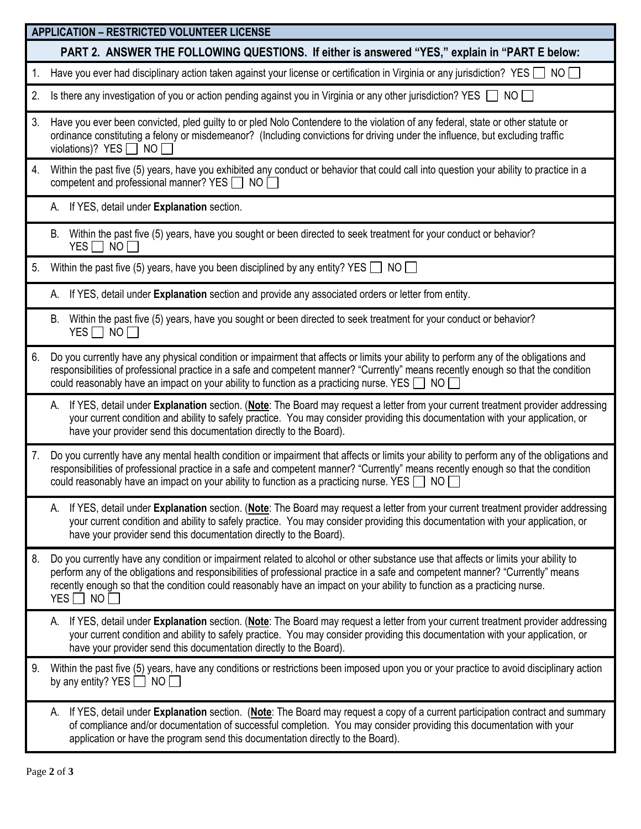|    | <b>APPLICATION - RESTRICTED VOLUNTEER LICENSE</b>                                                                                                                                                                                                                                                                                                                                                                        |  |  |  |
|----|--------------------------------------------------------------------------------------------------------------------------------------------------------------------------------------------------------------------------------------------------------------------------------------------------------------------------------------------------------------------------------------------------------------------------|--|--|--|
|    | PART 2. ANSWER THE FOLLOWING QUESTIONS. If either is answered "YES," explain in "PART E below:                                                                                                                                                                                                                                                                                                                           |  |  |  |
| 1. | Have you ever had disciplinary action taken against your license or certification in Virginia or any jurisdiction? YES $\Box$ NO $\Box$                                                                                                                                                                                                                                                                                  |  |  |  |
| 2. | Is there any investigation of you or action pending against you in Virginia or any other jurisdiction? YES $\Box$ NO $\Box$                                                                                                                                                                                                                                                                                              |  |  |  |
| 3. | Have you ever been convicted, pled guilty to or pled Nolo Contendere to the violation of any federal, state or other statute or<br>ordinance constituting a felony or misdemeanor? (Including convictions for driving under the influence, but excluding traffic<br>violations)? YES $\Box$ NO $\Box$                                                                                                                    |  |  |  |
| 4. | Within the past five (5) years, have you exhibited any conduct or behavior that could call into question your ability to practice in a<br>competent and professional manner? YES $\Box$ NO $\Box$                                                                                                                                                                                                                        |  |  |  |
|    | A. If YES, detail under Explanation section.                                                                                                                                                                                                                                                                                                                                                                             |  |  |  |
|    | Within the past five (5) years, have you sought or been directed to seek treatment for your conduct or behavior?<br>В.<br>YES NO                                                                                                                                                                                                                                                                                         |  |  |  |
| 5. | Within the past five (5) years, have you been disciplined by any entity? YES $\Box$ NO $\Box$                                                                                                                                                                                                                                                                                                                            |  |  |  |
|    | A. If YES, detail under Explanation section and provide any associated orders or letter from entity.                                                                                                                                                                                                                                                                                                                     |  |  |  |
|    | Within the past five (5) years, have you sought or been directed to seek treatment for your conduct or behavior?<br>В.<br>YES $\Box$ NO $\Box$                                                                                                                                                                                                                                                                           |  |  |  |
| 6. | Do you currently have any physical condition or impairment that affects or limits your ability to perform any of the obligations and<br>responsibilities of professional practice in a safe and competent manner? "Currently" means recently enough so that the condition<br>could reasonably have an impact on your ability to function as a practicing nurse. YES $\Box$ NO $\Box$                                     |  |  |  |
|    | If YES, detail under Explanation section. (Note: The Board may request a letter from your current treatment provider addressing<br>А.<br>your current condition and ability to safely practice. You may consider providing this documentation with your application, or<br>have your provider send this documentation directly to the Board).                                                                            |  |  |  |
| 7. | Do you currently have any mental health condition or impairment that affects or limits your ability to perform any of the obligations and<br>responsibilities of professional practice in a safe and competent manner? "Currently" means recently enough so that the condition<br>could reasonably have an impact on your ability to function as a practicing nurse. YES $\Box$ NO $\Box$                                |  |  |  |
|    | A. If YES, detail under Explanation section. (Note: The Board may request a letter from your current treatment provider addressing<br>your current condition and ability to safely practice. You may consider providing this documentation with your application, or<br>have your provider send this documentation directly to the Board).                                                                               |  |  |  |
| 8. | Do you currently have any condition or impairment related to alcohol or other substance use that affects or limits your ability to<br>perform any of the obligations and responsibilities of professional practice in a safe and competent manner? "Currently" means<br>recently enough so that the condition could reasonably have an impact on your ability to function as a practicing nurse.<br>YES $\Box$ NO $\Box$ |  |  |  |
|    | A. If YES, detail under Explanation section. (Note: The Board may request a letter from your current treatment provider addressing<br>your current condition and ability to safely practice. You may consider providing this documentation with your application, or<br>have your provider send this documentation directly to the Board).                                                                               |  |  |  |
| 9. | Within the past five (5) years, have any conditions or restrictions been imposed upon you or your practice to avoid disciplinary action<br>by any entity? YES $\Box$ NO $\Box$                                                                                                                                                                                                                                           |  |  |  |
|    | A. If YES, detail under Explanation section. (Note: The Board may request a copy of a current participation contract and summary<br>of compliance and/or documentation of successful completion. You may consider providing this documentation with your<br>application or have the program send this documentation directly to the Board).                                                                              |  |  |  |